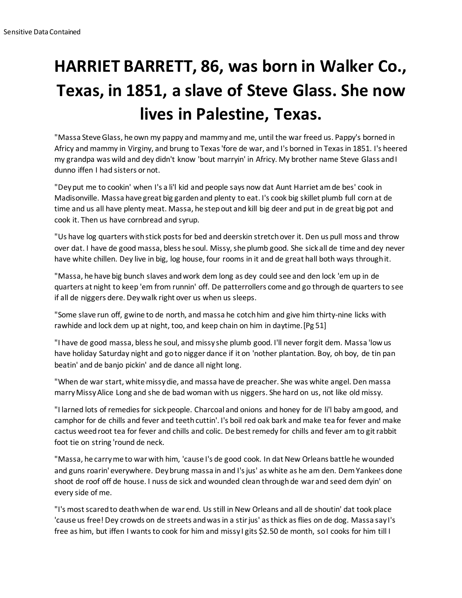## **HARRIET BARRETT, 86, was born in Walker Co., Texas, in 1851, a slave of Steve Glass. She now lives in Palestine, Texas.**

"Massa Steve Glass, he own my pappy and mammy and me, until the war freed us. Pappy's borned in Africy and mammy in Virginy, and brung to Texas 'fore de war, and I's borned in Texas in 1851. I's heered my grandpa was wild and dey didn't know 'bout marryin' in Africy. My brother name Steve Glass and I dunno iffen I had sisters or not.

"Dey put me to cookin' when I's a li'l kid and people says now dat Aunt Harriet am de bes' cook in Madisonville. Massa have great big garden and plenty to eat. I's cook big skillet plumb full corn at de time and us all have plenty meat. Massa, he step out and kill big deer and put in de great big pot and cook it. Then us have cornbread and syrup.

"Us have log quarters with stick posts for bed and deerskin stretch over it. Den us pull moss and throw over dat. I have de good massa, bless he soul. Missy, she plumb good. She sick all de time and dey never have white chillen. Dey live in big, log house, four rooms in it and de great hall both ways through it.

"Massa, he have big bunch slaves and work dem long as dey could see and den lock 'em up in de quarters at night to keep 'em from runnin' off. De patterrollers come and go through de quarters to see if all de niggers dere. Dey walk right over us when us sleeps.

"Some slave run off, gwine to de north, and massa he cotch him and give him thirty-nine licks with rawhide and lock dem up at night, too, and keep chain on him in daytime.[Pg 51]

"I have de good massa, bless he soul, and missy she plumb good. I'll never forgit dem. Massa 'low us have holiday Saturday night and go to nigger dance if it on 'nother plantation. Boy, oh boy, de tin pan beatin' and de banjo pickin' and de dance all night long.

"When de war start, white missy die, and massa have de preacher. She was white angel. Den massa marry Missy Alice Long and she de bad woman with us niggers. She hard on us, not like old missy.

"I larned lots of remedies for sick people. Charcoal and onions and honey for de li'l baby am good, and camphor for de chills and fever and teeth cuttin'. I's boil red oak bark and make tea for fever and make cactus weed root tea for fever and chills and colic. De best remedy for chills and fever am to git rabbit foot tie on string 'round de neck.

"Massa, he carry me to war with him, 'cause I's de good cook. In dat New Orleans battle he wounded and guns roarin' everywhere. Dey brung massa in and I's jus' as white as he am den. Dem Yankees done shoot de roof off de house. I nuss de sick and wounded clean through de war and seed dem dyin' on every side of me.

"I's most scared to death when de war end. Us still in New Orleans and all de shoutin' dat took place 'cause us free! Dey crowds on de streets and was in a stir jus' as thick as flies on de dog. Massa say I's free as him, but iffen I wants to cook for him and missy I gits \$2.50 de month, so I cooks for him till I